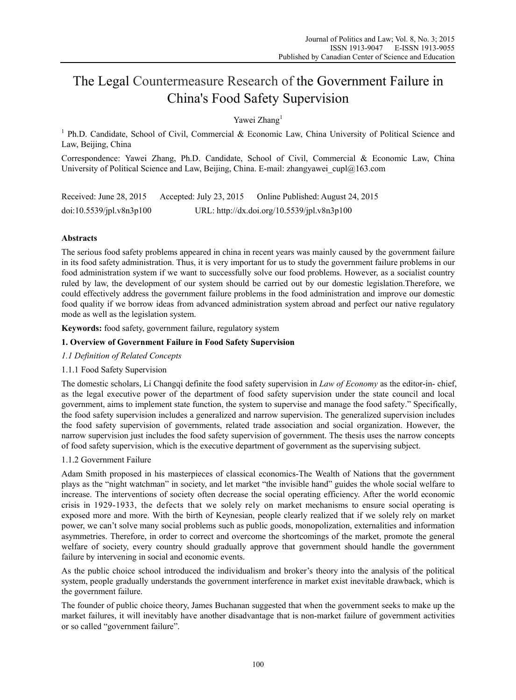# The Legal Countermeasure Research of the Government Failure in China's Food Safety Supervision

Yawei Zhang<sup>1</sup>

<sup>1</sup> Ph.D. Candidate, School of Civil, Commercial & Economic Law, China University of Political Science and Law, Beijing, China

Correspondence: Yawei Zhang, Ph.D. Candidate, School of Civil, Commercial & Economic Law, China University of Political Science and Law, Beijing, China. E-mail: zhangyawei\_cupl@163.com

Received: June 28, 2015 Accepted: July 23, 2015 Online Published: August 24, 2015 doi:10.5539/jpl.v8n3p100 URL: http://dx.doi.org/10.5539/jpl.v8n3p100

# **Abstracts**

The serious food safety problems appeared in china in recent years was mainly caused by the government failure in its food safety administration. Thus, it is very important for us to study the government failure problems in our food administration system if we want to successfully solve our food problems. However, as a socialist country ruled by law, the development of our system should be carried out by our domestic legislation.Therefore, we could effectively address the government failure problems in the food administration and improve our domestic food quality if we borrow ideas from advanced administration system abroad and perfect our native regulatory mode as well as the legislation system.

**Keywords:** food safety, government failure, regulatory system

## **1. Overview of Government Failure in Food Safety Supervision**

- *1.1 Definition of Related Concepts*
- 1.1.1 Food Safety Supervision

The domestic scholars, Li Changqi definite the food safety supervision in *Law of Economy* as the editor-in- chief, as the legal executive power of the department of food safety supervision under the state council and local government, aims to implement state function, the system to supervise and manage the food safety." Specifically, the food safety supervision includes a generalized and narrow supervision. The generalized supervision includes the food safety supervision of governments, related trade association and social organization. However, the narrow supervision just includes the food safety supervision of government. The thesis uses the narrow concepts of food safety supervision, which is the executive department of government as the supervising subject.

# 1.1.2 Government Failure

Adam Smith proposed in his masterpieces of classical economics-The Wealth of Nations that the government plays as the "night watchman" in society, and let market "the invisible hand" guides the whole social welfare to increase. The interventions of society often decrease the social operating efficiency. After the world economic crisis in 1929-1933, the defects that we solely rely on market mechanisms to ensure social operating is exposed more and more. With the birth of Keynesian, people clearly realized that if we solely rely on market power, we can't solve many social problems such as public goods, monopolization, externalities and information asymmetries. Therefore, in order to correct and overcome the shortcomings of the market, promote the general welfare of society, every country should gradually approve that government should handle the government failure by intervening in social and economic events.

As the public choice school introduced the individualism and broker's theory into the analysis of the political system, people gradually understands the government interference in market exist inevitable drawback, which is the government failure.

The founder of public choice theory, James Buchanan suggested that when the government seeks to make up the market failures, it will inevitably have another disadvantage that is non-market failure of government activities or so called "government failure".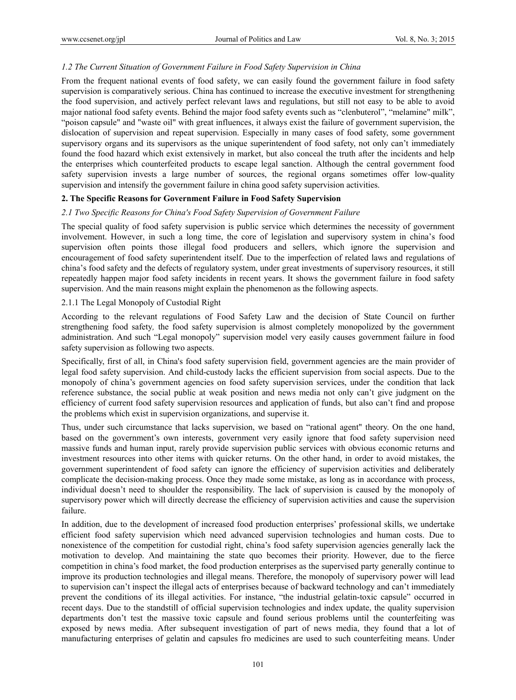## *1.2 The Current Situation of Government Failure in Food Safety Supervision in China*

From the frequent national events of food safety, we can easily found the government failure in food safety supervision is comparatively serious. China has continued to increase the executive investment for strengthening the food supervision, and actively perfect relevant laws and regulations, but still not easy to be able to avoid major national food safety events. Behind the major food safety events such as "clenbuterol", "melamine" milk", "poison capsule" and "waste oil" with great influences, it always exist the failure of government supervision, the dislocation of supervision and repeat supervision. Especially in many cases of food safety, some government supervisory organs and its supervisors as the unique superintendent of food safety, not only can't immediately found the food hazard which exist extensively in market, but also conceal the truth after the incidents and help the enterprises which counterfeited products to escape legal sanction. Although the central government food safety supervision invests a large number of sources, the regional organs sometimes offer low-quality supervision and intensify the government failure in china good safety supervision activities.

#### **2. The Specific Reasons for Government Failure in Food Safety Supervision**

#### *2.1 Two Specific Reasons for China's Food Safety Supervision of Government Failure*

The special quality of food safety supervision is public service which determines the necessity of government involvement. However, in such a long time, the core of legislation and supervisory system in china's food supervision often points those illegal food producers and sellers, which ignore the supervision and encouragement of food safety superintendent itself. Due to the imperfection of related laws and regulations of china's food safety and the defects of regulatory system, under great investments of supervisory resources, it still repeatedly happen major food safety incidents in recent years. It shows the government failure in food safety supervision. And the main reasons might explain the phenomenon as the following aspects.

## 2.1.1 The Legal Monopoly of Custodial Right

According to the relevant regulations of Food Safety Law and the decision of State Council on further strengthening food safety*,* the food safety supervision is almost completely monopolized by the government administration. And such "Legal monopoly" supervision model very easily causes government failure in food safety supervision as following two aspects.

Specifically, first of all, in China's food safety supervision field, government agencies are the main provider of legal food safety supervision. And child-custody lacks the efficient supervision from social aspects. Due to the monopoly of china's government agencies on food safety supervision services, under the condition that lack reference substance, the social public at weak position and news media not only can't give judgment on the efficiency of current food safety supervision resources and application of funds, but also can't find and propose the problems which exist in supervision organizations, and supervise it.

Thus, under such circumstance that lacks supervision, we based on "rational agent" theory. On the one hand, based on the government's own interests, government very easily ignore that food safety supervision need massive funds and human input, rarely provide supervision public services with obvious economic returns and investment resources into other items with quicker returns. On the other hand, in order to avoid mistakes, the government superintendent of food safety can ignore the efficiency of supervision activities and deliberately complicate the decision-making process. Once they made some mistake, as long as in accordance with process, individual doesn't need to shoulder the responsibility. The lack of supervision is caused by the monopoly of supervisory power which will directly decrease the efficiency of supervision activities and cause the supervision failure.

In addition, due to the development of increased food production enterprises' professional skills, we undertake efficient food safety supervision which need advanced supervision technologies and human costs. Due to nonexistence of the competition for custodial right, china's food safety supervision agencies generally lack the motivation to develop. And maintaining the state quo becomes their priority. However, due to the fierce competition in china's food market, the food production enterprises as the supervised party generally continue to improve its production technologies and illegal means. Therefore, the monopoly of supervisory power will lead to supervision can't inspect the illegal acts of enterprises because of backward technology and can't immediately prevent the conditions of its illegal activities. For instance, "the industrial gelatin-toxic capsule" occurred in recent days. Due to the standstill of official supervision technologies and index update, the quality supervision departments don't test the massive toxic capsule and found serious problems until the counterfeiting was exposed by news media. After subsequent investigation of part of news media, they found that a lot of manufacturing enterprises of gelatin and capsules fro medicines are used to such counterfeiting means. Under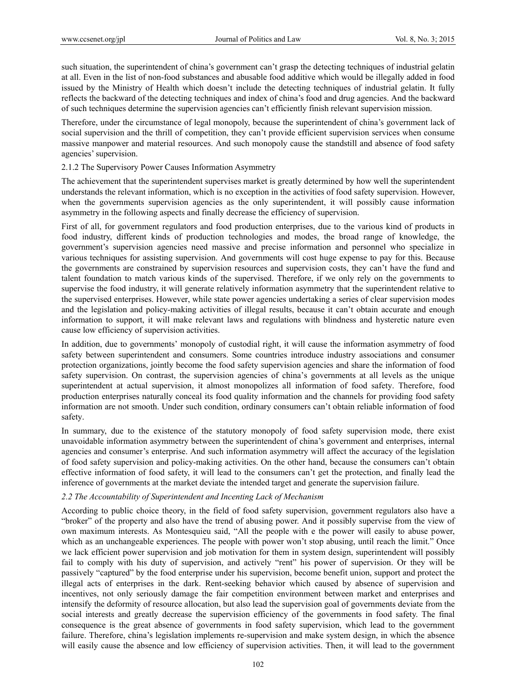such situation, the superintendent of china's government can't grasp the detecting techniques of industrial gelatin at all. Even in the list of non-food substances and abusable food additive which would be illegally added in food issued by the Ministry of Health which doesn't include the detecting techniques of industrial gelatin. It fully reflects the backward of the detecting techniques and index of china's food and drug agencies. And the backward of such techniques determine the supervision agencies can't efficiently finish relevant supervision mission.

Therefore, under the circumstance of legal monopoly, because the superintendent of china's government lack of social supervision and the thrill of competition, they can't provide efficient supervision services when consume massive manpower and material resources. And such monopoly cause the standstill and absence of food safety agencies' supervision.

## 2.1.2 The Supervisory Power Causes Information Asymmetry

The achievement that the superintendent supervises market is greatly determined by how well the superintendent understands the relevant information, which is no exception in the activities of food safety supervision. However, when the governments supervision agencies as the only superintendent, it will possibly cause information asymmetry in the following aspects and finally decrease the efficiency of supervision.

First of all, for government regulators and food production enterprises, due to the various kind of products in food industry, different kinds of production technologies and modes, the broad range of knowledge, the government's supervision agencies need massive and precise information and personnel who specialize in various techniques for assisting supervision. And governments will cost huge expense to pay for this. Because the governments are constrained by supervision resources and supervision costs, they can't have the fund and talent foundation to match various kinds of the supervised. Therefore, if we only rely on the governments to supervise the food industry, it will generate relatively information asymmetry that the superintendent relative to the supervised enterprises. However, while state power agencies undertaking a series of clear supervision modes and the legislation and policy-making activities of illegal results, because it can't obtain accurate and enough information to support, it will make relevant laws and regulations with blindness and hysteretic nature even cause low efficiency of supervision activities.

In addition, due to governments' monopoly of custodial right, it will cause the information asymmetry of food safety between superintendent and consumers. Some countries introduce industry associations and consumer protection organizations, jointly become the food safety supervision agencies and share the information of food safety supervision. On contrast, the supervision agencies of china's governments at all levels as the unique superintendent at actual supervision, it almost monopolizes all information of food safety. Therefore, food production enterprises naturally conceal its food quality information and the channels for providing food safety information are not smooth. Under such condition, ordinary consumers can't obtain reliable information of food safety.

In summary, due to the existence of the statutory monopoly of food safety supervision mode, there exist unavoidable information asymmetry between the superintendent of china's government and enterprises, internal agencies and consumer's enterprise. And such information asymmetry will affect the accuracy of the legislation of food safety supervision and policy-making activities. On the other hand, because the consumers can't obtain effective information of food safety, it will lead to the consumers can't get the protection, and finally lead the inference of governments at the market deviate the intended target and generate the supervision failure.

## *2.2 The Accountability of Superintendent and Incenting Lack of Mechanism*

According to public choice theory, in the field of food safety supervision, government regulators also have a "broker" of the property and also have the trend of abusing power. And it possibly supervise from the view of own maximum interests. As Montesquieu said, "All the people with e the power will easily to abuse power, which as an unchangeable experiences. The people with power won't stop abusing, until reach the limit." Once we lack efficient power supervision and job motivation for them in system design, superintendent will possibly fail to comply with his duty of supervision, and actively "rent" his power of supervision. Or they will be passively "captured" by the food enterprise under his supervision, become benefit union, support and protect the illegal acts of enterprises in the dark. Rent-seeking behavior which caused by absence of supervision and incentives, not only seriously damage the fair competition environment between market and enterprises and intensify the deformity of resource allocation, but also lead the supervision goal of governments deviate from the social interests and greatly decrease the supervision efficiency of the governments in food safety. The final consequence is the great absence of governments in food safety supervision, which lead to the government failure. Therefore, china's legislation implements re-supervision and make system design, in which the absence will easily cause the absence and low efficiency of supervision activities. Then, it will lead to the government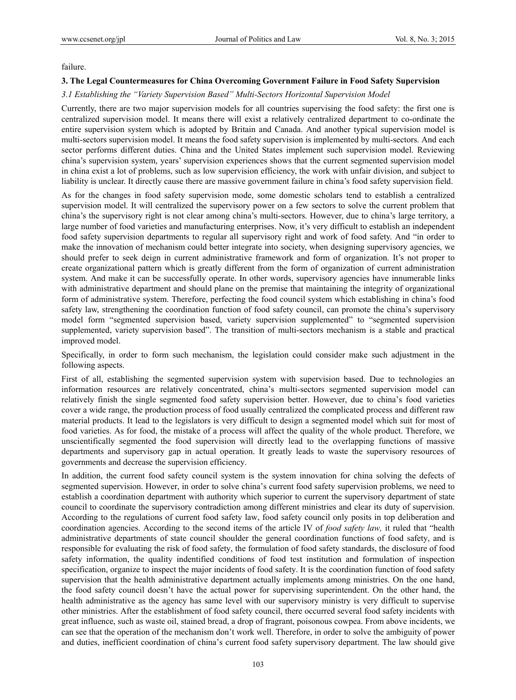failure.

#### **3. The Legal Countermeasures for China Overcoming Government Failure in Food Safety Supervision**

# *3.1 Establishing the "Variety Supervision Based" Multi-Sectors Horizontal Supervision Model*

Currently, there are two major supervision models for all countries supervising the food safety: the first one is centralized supervision model. It means there will exist a relatively centralized department to co-ordinate the entire supervision system which is adopted by Britain and Canada. And another typical supervision model is multi-sectors supervision model. It means the food safety supervision is implemented by multi-sectors. And each sector performs different duties. China and the United States implement such supervision model. Reviewing china's supervision system, years' supervision experiences shows that the current segmented supervision model in china exist a lot of problems, such as low supervision efficiency, the work with unfair division, and subject to liability is unclear. It directly cause there are massive government failure in china's food safety supervision field.

As for the changes in food safety supervision mode, some domestic scholars tend to establish a centralized supervision model. It will centralized the supervisory power on a few sectors to solve the current problem that china's the supervisory right is not clear among china's multi-sectors. However, due to china's large territory, a large number of food varieties and manufacturing enterprises. Now, it's very difficult to establish an independent food safety supervision departments to regular all supervisory right and work of food safety. And "in order to make the innovation of mechanism could better integrate into society, when designing supervisory agencies, we should prefer to seek deign in current administrative framework and form of organization. It's not proper to create organizational pattern which is greatly different from the form of organization of current administration system. And make it can be successfully operate. In other words, supervisory agencies have innumerable links with administrative department and should plane on the premise that maintaining the integrity of organizational form of administrative system. Therefore, perfecting the food council system which establishing in china's food safety law, strengthening the coordination function of food safety council, can promote the china's supervisory model form "segmented supervision based, variety supervision supplemented" to "segmented supervision supplemented, variety supervision based". The transition of multi-sectors mechanism is a stable and practical improved model.

Specifically, in order to form such mechanism, the legislation could consider make such adjustment in the following aspects.

First of all, establishing the segmented supervision system with supervision based. Due to technologies an information resources are relatively concentrated, china's multi-sectors segmented supervision model can relatively finish the single segmented food safety supervision better. However, due to china's food varieties cover a wide range, the production process of food usually centralized the complicated process and different raw material products. It lead to the legislators is very difficult to design a segmented model which suit for most of food varieties. As for food, the mistake of a process will affect the quality of the whole product. Therefore, we unscientifically segmented the food supervision will directly lead to the overlapping functions of massive departments and supervisory gap in actual operation. It greatly leads to waste the supervisory resources of governments and decrease the supervision efficiency.

In addition, the current food safety council system is the system innovation for china solving the defects of segmented supervision. However, in order to solve china's current food safety supervision problems, we need to establish a coordination department with authority which superior to current the supervisory department of state council to coordinate the supervisory contradiction among different ministries and clear its duty of supervision. According to the regulations of current food safety law, food safety council only posits in top deliberation and coordination agencies. According to the second items of the article IV of *food safety law,* it ruled that "health administrative departments of state council shoulder the general coordination functions of food safety, and is responsible for evaluating the risk of food safety, the formulation of food safety standards, the disclosure of food safety information, the quality indentified conditions of food test institution and formulation of inspection specification, organize to inspect the major incidents of food safety. It is the coordination function of food safety supervision that the health administrative department actually implements among ministries. On the one hand, the food safety council doesn't have the actual power for supervising superintendent. On the other hand, the health administrative as the agency has same level with our supervisory ministry is very difficult to supervise other ministries. After the establishment of food safety council, there occurred several food safety incidents with great influence, such as waste oil, stained bread, a drop of fragrant, poisonous cowpea. From above incidents, we can see that the operation of the mechanism don't work well. Therefore, in order to solve the ambiguity of power and duties, inefficient coordination of china's current food safety supervisory department. The law should give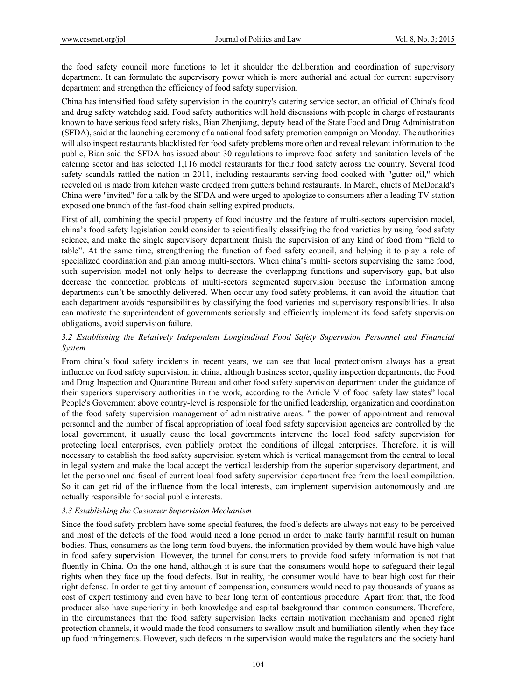the food safety council more functions to let it shoulder the deliberation and coordination of supervisory department. It can formulate the supervisory power which is more authorial and actual for current supervisory department and strengthen the efficiency of food safety supervision.

China has intensified food safety supervision in the country's catering service sector, an official of China's food and drug safety watchdog said. Food safety authorities will hold discussions with people in charge of restaurants known to have serious food safety risks, Bian Zhenjiang, deputy head of the State Food and Drug Administration (SFDA), said at the launching ceremony of a national food safety promotion campaign on Monday. The authorities will also inspect restaurants blacklisted for food safety problems more often and reveal relevant information to the public, Bian said the SFDA has issued about 30 regulations to improve food safety and sanitation levels of the catering sector and has selected 1,116 model restaurants for their food safety across the country. Several food safety scandals rattled the nation in 2011, including restaurants serving food cooked with "gutter oil," which recycled oil is made from kitchen waste dredged from gutters behind restaurants. In March, chiefs of McDonald's China were "invited" for a talk by the SFDA and were urged to apologize to consumers after a leading TV station exposed one branch of the fast-food chain selling expired products.

First of all, combining the special property of food industry and the feature of multi-sectors supervision model, china's food safety legislation could consider to scientifically classifying the food varieties by using food safety science, and make the single supervisory department finish the supervision of any kind of food from "field to table". At the same time, strengthening the function of food safety council, and helping it to play a role of specialized coordination and plan among multi-sectors. When china's multi- sectors supervising the same food, such supervision model not only helps to decrease the overlapping functions and supervisory gap, but also decrease the connection problems of multi-sectors segmented supervision because the information among departments can't be smoothly delivered. When occur any food safety problems, it can avoid the situation that each department avoids responsibilities by classifying the food varieties and supervisory responsibilities. It also can motivate the superintendent of governments seriously and efficiently implement its food safety supervision obligations, avoid supervision failure.

# *3.2 Establishing the Relatively Independent Longitudinal Food Safety Supervision Personnel and Financial System*

From china's food safety incidents in recent years, we can see that local protectionism always has a great influence on food safety supervision. in china, although business sector, quality inspection departments, the Food and Drug Inspection and Quarantine Bureau and other food safety supervision department under the guidance of their superiors supervisory authorities in the work, according to the Article V of food safety law states" local People's Government above country-level is responsible for the unified leadership, organization and coordination of the food safety supervision management of administrative areas. " the power of appointment and removal personnel and the number of fiscal appropriation of local food safety supervision agencies are controlled by the local government, it usually cause the local governments intervene the local food safety supervision for protecting local enterprises, even publicly protect the conditions of illegal enterprises. Therefore, it is will necessary to establish the food safety supervision system which is vertical management from the central to local in legal system and make the local accept the vertical leadership from the superior supervisory department, and let the personnel and fiscal of current local food safety supervision department free from the local compilation. So it can get rid of the influence from the local interests, can implement supervision autonomously and are actually responsible for social public interests.

## *3.3 Establishing the Customer Supervision Mechanism*

Since the food safety problem have some special features, the food's defects are always not easy to be perceived and most of the defects of the food would need a long period in order to make fairly harmful result on human bodies. Thus, consumers as the long-term food buyers, the information provided by them would have high value in food safety supervision. However, the tunnel for consumers to provide food safety information is not that fluently in China. On the one hand, although it is sure that the consumers would hope to safeguard their legal rights when they face up the food defects. But in reality, the consumer would have to bear high cost for their right defense. In order to get tiny amount of compensation, consumers would need to pay thousands of yuans as cost of expert testimony and even have to bear long term of contentious procedure. Apart from that, the food producer also have superiority in both knowledge and capital background than common consumers. Therefore, in the circumstances that the food safety supervision lacks certain motivation mechanism and opened right protection channels, it would made the food consumers to swallow insult and humiliation silently when they face up food infringements. However, such defects in the supervision would make the regulators and the society hard